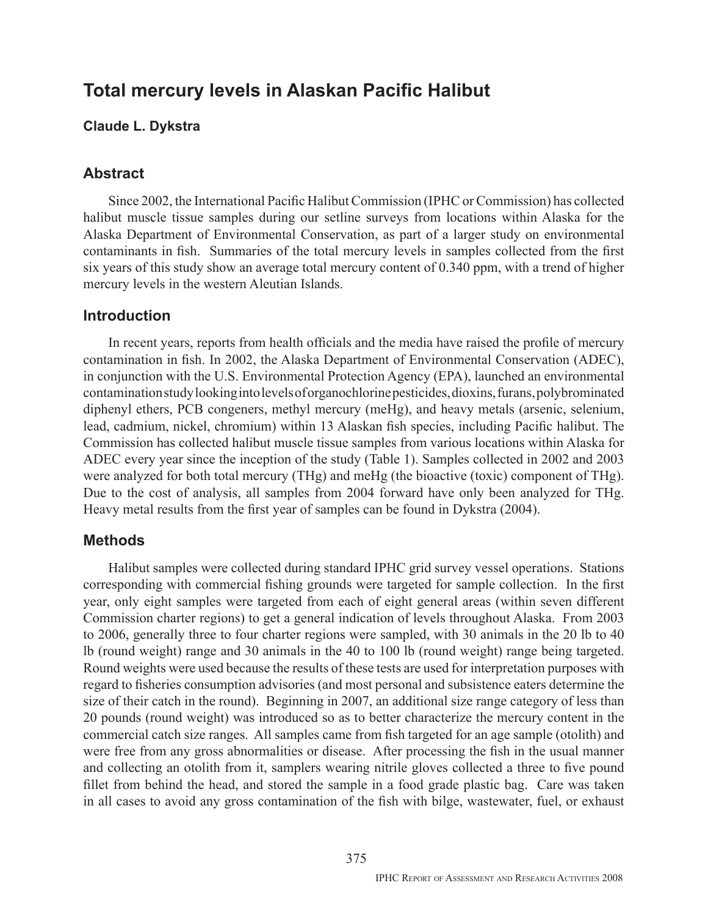# **Total mercury levels in Alaskan Pacific Halibut**

#### **Claude L. Dykstra**

### **Abstract**

Since 2002, the International Pacific Halibut Commission (IPHC or Commission) has collected halibut muscle tissue samples during our setline surveys from locations within Alaska for the Alaska Department of Environmental Conservation, as part of a larger study on environmental contaminants in fish. Summaries of the total mercury levels in samples collected from the first six years of this study show an average total mercury content of 0.340 ppm, with a trend of higher mercury levels in the western Aleutian Islands.

#### **Introduction**

In recent years, reports from health officials and the media have raised the profile of mercury contamination in fish. In 2002, the Alaska Department of Environmental Conservation (ADEC), in conjunction with the U.S. Environmental Protection Agency (EPA), launched an environmental contamination study looking into levels of organochlorine pesticides, dioxins, furans, polybrominated diphenyl ethers, PCB congeners, methyl mercury (meHg), and heavy metals (arsenic, selenium, lead, cadmium, nickel, chromium) within 13 Alaskan fish species, including Pacific halibut. The Commission has collected halibut muscle tissue samples from various locations within Alaska for ADEC every year since the inception of the study (Table 1). Samples collected in 2002 and 2003 were analyzed for both total mercury (THg) and meHg (the bioactive (toxic) component of THg). Due to the cost of analysis, all samples from 2004 forward have only been analyzed for THg. Heavy metal results from the first year of samples can be found in Dykstra (2004).

#### **Methods**

Halibut samples were collected during standard IPHC grid survey vessel operations. Stations corresponding with commercial fishing grounds were targeted for sample collection. In the first year, only eight samples were targeted from each of eight general areas (within seven different Commission charter regions) to get a general indication of levels throughout Alaska. From 2003 to 2006, generally three to four charter regions were sampled, with 30 animals in the 20 lb to 40 lb (round weight) range and 30 animals in the 40 to 100 lb (round weight) range being targeted. Round weights were used because the results of these tests are used for interpretation purposes with regard to fisheries consumption advisories (and most personal and subsistence eaters determine the size of their catch in the round). Beginning in 2007, an additional size range category of less than 20 pounds (round weight) was introduced so as to better characterize the mercury content in the commercial catch size ranges. All samples came from fish targeted for an age sample (otolith) and were free from any gross abnormalities or disease. After processing the fish in the usual manner and collecting an otolith from it, samplers wearing nitrile gloves collected a three to five pound fillet from behind the head, and stored the sample in a food grade plastic bag. Care was taken in all cases to avoid any gross contamination of the fish with bilge, wastewater, fuel, or exhaust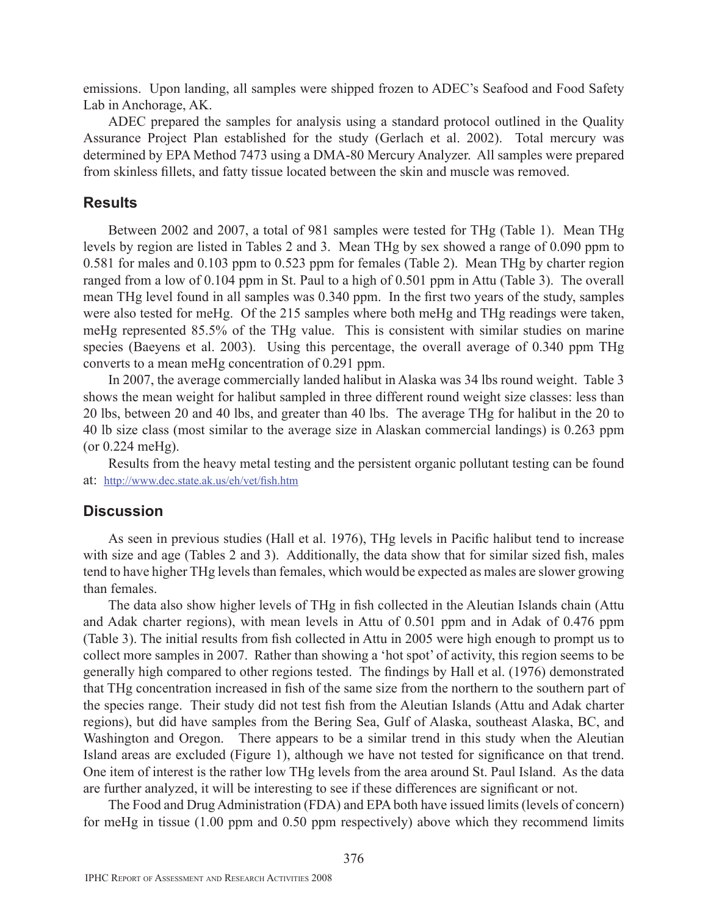emissions. Upon landing, all samples were shipped frozen to ADEC's Seafood and Food Safety Lab in Anchorage, AK.

ADEC prepared the samples for analysis using a standard protocol outlined in the Quality Assurance Project Plan established for the study (Gerlach et al. 2002). Total mercury was determined by EPA Method 7473 using a DMA-80 Mercury Analyzer. All samples were prepared from skinless fillets, and fatty tissue located between the skin and muscle was removed.

#### **Results**

Between 2002 and 2007, a total of 981 samples were tested for THg (Table 1). Mean THg levels by region are listed in Tables 2 and 3. Mean THg by sex showed a range of 0.090 ppm to 0.581 for males and 0.103 ppm to 0.523 ppm for females (Table 2). Mean THg by charter region ranged from a low of 0.104 ppm in St. Paul to a high of 0.501 ppm in Attu (Table 3). The overall mean THg level found in all samples was 0.340 ppm. In the first two years of the study, samples were also tested for meHg. Of the 215 samples where both meHg and THg readings were taken, meHg represented 85.5% of the THg value. This is consistent with similar studies on marine species (Baeyens et al. 2003). Using this percentage, the overall average of 0.340 ppm THg converts to a mean meHg concentration of 0.291 ppm.

In 2007, the average commercially landed halibut in Alaska was 34 lbs round weight. Table 3 shows the mean weight for halibut sampled in three different round weight size classes: less than 20 lbs, between 20 and 40 lbs, and greater than 40 lbs. The average THg for halibut in the 20 to 40 lb size class (most similar to the average size in Alaskan commercial landings) is 0.263 ppm (or 0.224 meHg).

Results from the heavy metal testing and the persistent organic pollutant testing can be found at: http://www.dec.state.ak.us/eh/vet/fish.htm

#### **Discussion**

As seen in previous studies (Hall et al. 1976), THg levels in Pacific halibut tend to increase with size and age (Tables 2 and 3). Additionally, the data show that for similar sized fish, males tend to have higher THg levels than females, which would be expected as males are slower growing than females.

The data also show higher levels of THg in fish collected in the Aleutian Islands chain (Attu and Adak charter regions), with mean levels in Attu of 0.501 ppm and in Adak of 0.476 ppm (Table 3). The initial results from fish collected in Attu in 2005 were high enough to prompt us to collect more samples in 2007. Rather than showing a 'hot spot' of activity, this region seems to be generally high compared to other regions tested. The findings by Hall et al. (1976) demonstrated that THg concentration increased in fish of the same size from the northern to the southern part of the species range. Their study did not test fish from the Aleutian Islands (Attu and Adak charter regions), but did have samples from the Bering Sea, Gulf of Alaska, southeast Alaska, BC, and Washington and Oregon. There appears to be a similar trend in this study when the Aleutian Island areas are excluded (Figure 1), although we have not tested for significance on that trend. One item of interest is the rather low THg levels from the area around St. Paul Island. As the data are further analyzed, it will be interesting to see if these differences are significant or not.

The Food and Drug Administration (FDA) and EPA both have issued limits (levels of concern) for meHg in tissue (1.00 ppm and 0.50 ppm respectively) above which they recommend limits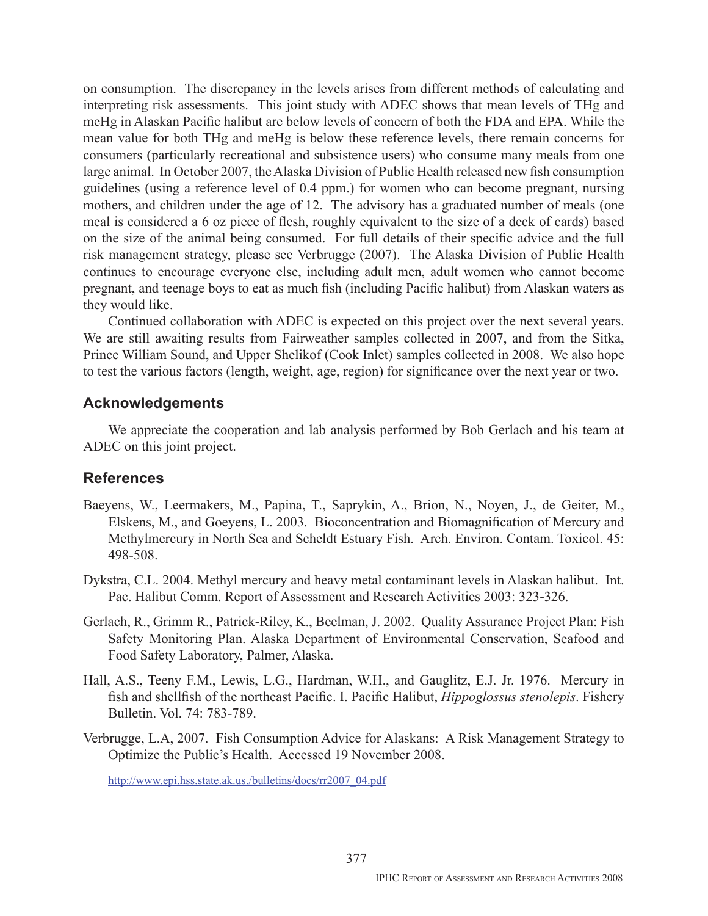on consumption. The discrepancy in the levels arises from different methods of calculating and interpreting risk assessments. This joint study with ADEC shows that mean levels of THg and meHg in Alaskan Pacific halibut are below levels of concern of both the FDA and EPA. While the mean value for both THg and meHg is below these reference levels, there remain concerns for consumers (particularly recreational and subsistence users) who consume many meals from one large animal. In October 2007, the Alaska Division of Public Health released new fish consumption guidelines (using a reference level of 0.4 ppm.) for women who can become pregnant, nursing mothers, and children under the age of 12. The advisory has a graduated number of meals (one meal is considered a 6 oz piece of flesh, roughly equivalent to the size of a deck of cards) based on the size of the animal being consumed. For full details of their specific advice and the full risk management strategy, please see Verbrugge (2007). The Alaska Division of Public Health continues to encourage everyone else, including adult men, adult women who cannot become pregnant, and teenage boys to eat as much fish (including Pacific halibut) from Alaskan waters as they would like.

Continued collaboration with ADEC is expected on this project over the next several years. We are still awaiting results from Fairweather samples collected in 2007, and from the Sitka, Prince William Sound, and Upper Shelikof (Cook Inlet) samples collected in 2008. We also hope to test the various factors (length, weight, age, region) for significance over the next year or two.

## **Acknowledgements**

We appreciate the cooperation and lab analysis performed by Bob Gerlach and his team at ADEC on this joint project.

#### **References**

- Baeyens, W., Leermakers, M., Papina, T., Saprykin, A., Brion, N., Noyen, J., de Geiter, M., Elskens, M., and Goeyens, L. 2003. Bioconcentration and Biomagnification of Mercury and Methylmercury in North Sea and Scheldt Estuary Fish. Arch. Environ. Contam. Toxicol. 45: 498-508.
- Dykstra, C.L. 2004. Methyl mercury and heavy metal contaminant levels in Alaskan halibut. Int. Pac. Halibut Comm. Report of Assessment and Research Activities 2003: 323-326.
- Gerlach, R., Grimm R., Patrick-Riley, K., Beelman, J. 2002. Quality Assurance Project Plan: Fish Safety Monitoring Plan. Alaska Department of Environmental Conservation, Seafood and Food Safety Laboratory, Palmer, Alaska.
- Hall, A.S., Teeny F.M., Lewis, L.G., Hardman, W.H., and Gauglitz, E.J. Jr. 1976. Mercury in fish and shellfish of the northeast Pacific. I. Pacific Halibut, *Hippoglossus stenolepis*. Fishery Bulletin. Vol. 74: 783-789.
- Verbrugge, L.A, 2007. Fish Consumption Advice for Alaskans: A Risk Management Strategy to Optimize the Public's Health. Accessed 19 November 2008.

http://www.epi.hss.state.ak.us./bulletins/docs/rr2007\_04.pdf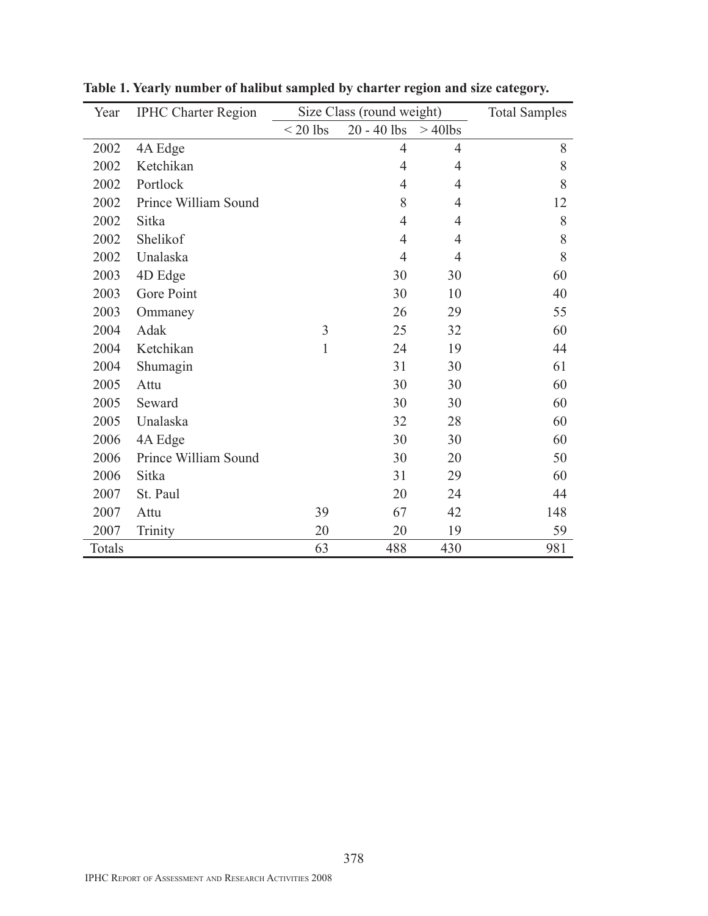| Year   | <b>IPHC Charter Region</b> | Size Class (round weight) | <b>Total Samples</b> |                |     |
|--------|----------------------------|---------------------------|----------------------|----------------|-----|
|        |                            | $<$ 20 lbs                | $20 - 40$ lbs        | $>40$ lbs      |     |
| 2002   | 4A Edge                    |                           | 4                    | $\overline{4}$ | 8   |
| 2002   | Ketchikan                  |                           | $\overline{4}$       | 4              | 8   |
| 2002   | Portlock                   |                           | $\overline{4}$       | $\overline{4}$ | 8   |
| 2002   | Prince William Sound       |                           | 8                    | $\overline{4}$ | 12  |
| 2002   | Sitka                      |                           | $\overline{4}$       | $\overline{4}$ | 8   |
| 2002   | Shelikof                   |                           | $\overline{4}$       | $\overline{4}$ | 8   |
| 2002   | Unalaska                   |                           | $\overline{4}$       | $\overline{4}$ | 8   |
| 2003   | 4D Edge                    |                           | 30                   | 30             | 60  |
| 2003   | Gore Point                 |                           | 30                   | 10             | 40  |
| 2003   | Ommaney                    |                           | 26                   | 29             | 55  |
| 2004   | Adak                       | 3                         | 25                   | 32             | 60  |
| 2004   | Ketchikan                  | $\mathbf{1}$              | 24                   | 19             | 44  |
| 2004   | Shumagin                   |                           | 31                   | 30             | 61  |
| 2005   | Attu                       |                           | 30                   | 30             | 60  |
| 2005   | Seward                     |                           | 30                   | 30             | 60  |
| 2005   | Unalaska                   |                           | 32                   | 28             | 60  |
| 2006   | 4A Edge                    |                           | 30                   | 30             | 60  |
| 2006   | Prince William Sound       |                           | 30                   | 20             | 50  |
| 2006   | Sitka                      |                           | 31                   | 29             | 60  |
| 2007   | St. Paul                   |                           | 20                   | 24             | 44  |
| 2007   | Attu                       | 39                        | 67                   | 42             | 148 |
| 2007   | Trinity                    | 20                        | 20                   | 19             | 59  |
| Totals |                            | 63                        | 488                  | 430            | 981 |

**Table 1. Yearly number of halibut sampled by charter region and size category.**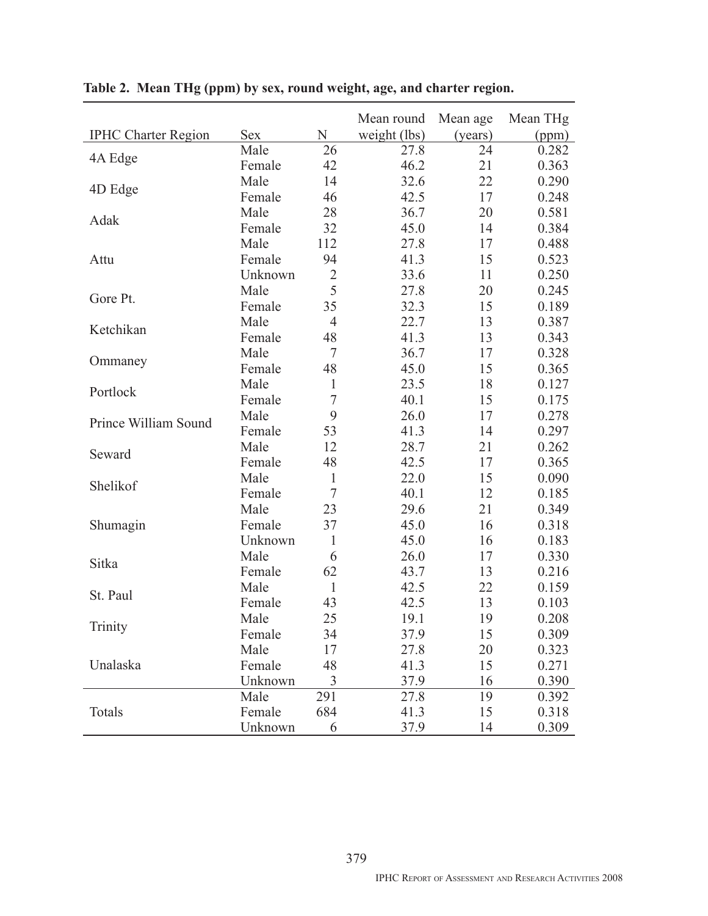|                            |            |                | Mean round   | Mean age | Mean THg |
|----------------------------|------------|----------------|--------------|----------|----------|
| <b>IPHC Charter Region</b> | <b>Sex</b> | N              | weight (lbs) | (years)  | (ppm)    |
| 4A Edge                    | Male       | 26             | 27.8         | 24       | 0.282    |
|                            | Female     | 42             | 46.2         | 21       | 0.363    |
| 4D Edge                    | Male       | 14             | 32.6         | 22       | 0.290    |
|                            | Female     | 46             | 42.5         | 17       | 0.248    |
| Adak                       | Male       | 28             | 36.7         | 20       | 0.581    |
|                            | Female     | 32             | 45.0         | 14       | 0.384    |
|                            | Male       | 112            | 27.8         | 17       | 0.488    |
| Attu                       | Female     | 94             | 41.3         | 15       | 0.523    |
|                            | Unknown    | $\overline{2}$ | 33.6         | 11       | 0.250    |
| Gore Pt.                   | Male       | 5              | 27.8         | 20       | 0.245    |
|                            | Female     | 35             | 32.3         | 15       | 0.189    |
|                            | Male       | $\overline{4}$ | 22.7         | 13       | 0.387    |
| Ketchikan                  | Female     | 48             | 41.3         | 13       | 0.343    |
|                            | Male       | $\overline{7}$ | 36.7         | 17       | 0.328    |
| Ommaney                    | Female     | 48             | 45.0         | 15       | 0.365    |
|                            | Male       | $\mathbf{1}$   | 23.5         | 18       | 0.127    |
| Portlock                   | Female     | $\overline{7}$ | 40.1         | 15       | 0.175    |
|                            | Male       | 9              | 26.0         | 17       | 0.278    |
| Prince William Sound       | Female     | 53             | 41.3         | 14       | 0.297    |
|                            | Male       | 12             | 28.7         | 21       | 0.262    |
| Seward                     | Female     | 48             | 42.5         | 17       | 0.365    |
|                            | Male       | $\mathbf{1}$   | 22.0         | 15       | 0.090    |
| Shelikof                   | Female     | $\overline{7}$ | 40.1         | 12       | 0.185    |
|                            | Male       | 23             | 29.6         | 21       | 0.349    |
| Shumagin                   | Female     | 37             | 45.0         | 16       | 0.318    |
|                            | Unknown    | $\mathbf{1}$   | 45.0         | 16       | 0.183    |
|                            | Male       | 6              | 26.0         | 17       | 0.330    |
| Sitka                      | Female     | 62             | 43.7         | 13       | 0.216    |
|                            | Male       | $\mathbf{1}$   | 42.5         | 22       | 0.159    |
| St. Paul                   | Female     | 43             | 42.5         | 13       | 0.103    |
|                            | Male       | 25             | 19.1         | 19       | 0.208    |
| Trinity                    | Female     | 34             | 37.9         | 15       | 0.309    |
|                            | Male       | 17             | 27.8         | 20       | 0.323    |
| Unalaska                   | Female     | 48             | 41.3         | 15       | 0.271    |
|                            | Unknown    | $\mathfrak{Z}$ | 37.9         | 16       | 0.390    |
|                            | Male       | 291            | 27.8         | 19       | 0.392    |
| Totals                     | Female     | 684            | 41.3         | 15       | 0.318    |
|                            | Unknown    | 6              | 37.9         | 14       | 0.309    |

## **Table 2. Mean THg (ppm) by sex, round weight, age, and charter region.**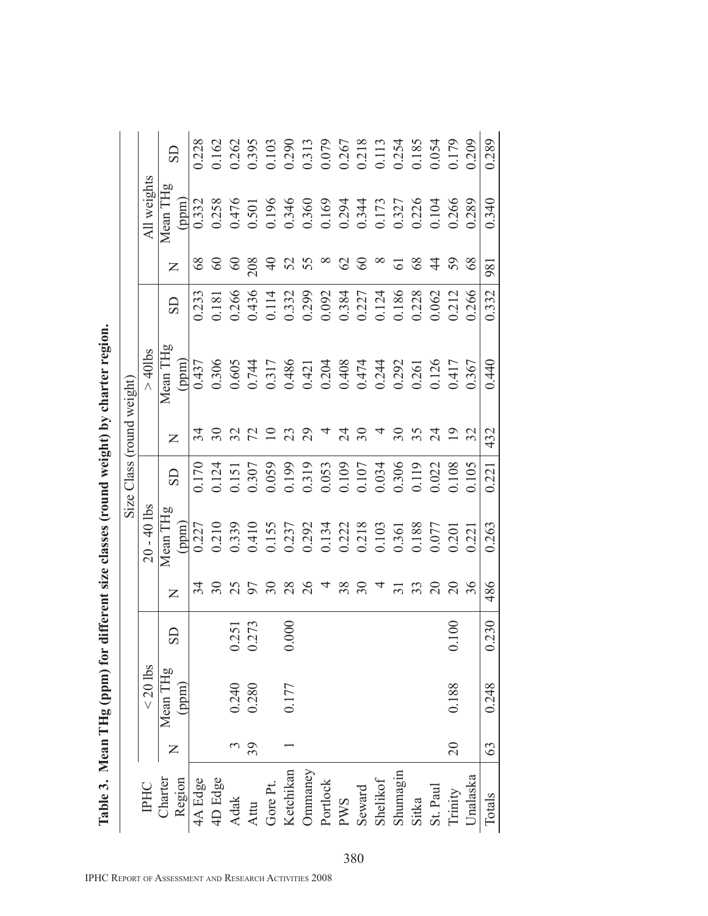|                           |               | $\overline{\text{S}}$ |                                     | 0.228 |                                    |       |                |          |         |                         | 0.162<br>0.263<br>0.395<br>0.390<br>0.307<br>0.267<br>0.267<br>0.303<br>0.309<br>0.179          |                |          |                          |                 |                 |                     |            |
|---------------------------|---------------|-----------------------|-------------------------------------|-------|------------------------------------|-------|----------------|----------|---------|-------------------------|-------------------------------------------------------------------------------------------------|----------------|----------|--------------------------|-----------------|-----------------|---------------------|------------|
|                           | All weights   | Mean TH               | (ppm)                               | 0.332 | 0.258                              |       |                |          |         |                         | 0.476<br>0.501<br>0.346 0.0.344<br>0.327<br>0.327<br>0.286 0.0.104<br>0.289                     |                |          |                          |                 |                 |                     |            |
|                           |               | $\overline{Z}$        |                                     | 68    | 60                                 | 60    | 208            | $\Theta$ |         |                         | $\mathcal{S}$                                                                                   | $\infty$       | $\infty$ | $\overline{6}$           | 68              | र्च             | 59                  | 68         |
|                           |               | <b>GS</b>             |                                     | 0.233 | 0.181                              | 0.266 | 0.436          |          |         | 0.114<br>0.332<br>0.299 | $\begin{array}{c} 0.092 \\ 0.384 \\ 0.227 \\ 0.124 \\ 0.186 \\ 0.186 \end{array}$               |                |          |                          |                 | 0.062<br>0.212  |                     | 0.266      |
|                           | $> 40$ lbs    | Mean THg              | $(\underline{\text{map}})$          | 0.437 |                                    |       |                |          |         |                         | 0.306<br>0.605<br>0.317<br>0.34208<br>0.30208<br>0.300<br>0.300<br>0.300<br>0.300<br>0.300      |                |          |                          |                 |                 |                     |            |
|                           |               | $\overline{Z}$        |                                     |       | 30                                 |       | 372            |          | 23      | $\mathcal{S}$           | $\frac{4}{3}$                                                                                   | $\mathfrak{S}$ |          | $\overline{\mathcal{E}}$ | 35              | $\overline{24}$ |                     | 32         |
| Size Class (round weight) |               | GS                    |                                     | 0.170 |                                    |       |                |          |         |                         | 0.124<br>0.151<br>0.307<br>0.039<br>0.039<br>0.033<br>0.034<br>0.022<br>0.003                   |                |          |                          |                 |                 |                     |            |
|                           | $20 - 40$ lbs | Mean THg              | $(\underline{m}\underline{m})$      | 0.227 |                                    |       |                |          |         |                         | 0.210<br>0.339<br>0.410<br>0.237<br>0.237<br>0.232<br>0.350<br>0.350<br>0.350<br>0.350<br>0.321 |                |          |                          |                 |                 |                     |            |
|                           |               | $\overline{Z}$        |                                     |       |                                    |       |                |          |         |                         | 38                                                                                              | $\Im$          |          |                          | $\frac{33}{20}$ |                 |                     | $20$<br>36 |
|                           |               | GS                    |                                     |       |                                    | .251  | 273            |          | $000$ . |                         |                                                                                                 |                |          |                          |                 |                 | $\frac{100}{1}$     |            |
|                           | $< 20$ lbs    | Mean THg              | $\frac{\text{(ppm)}}{\text{(mpm)}}$ |       |                                    |       | 0.240<br>0.280 |          | 0.177   |                         |                                                                                                 |                |          |                          |                 |                 | 0.188               |            |
|                           |               |                       |                                     |       |                                    |       | 39             |          |         |                         |                                                                                                 |                |          |                          |                 |                 | $\overline{20}$     |            |
|                           | <b>TPHC</b>   | Charter               | Region                              |       | 4A Edge<br>4D Edge<br>Adak<br>Attu |       |                |          |         |                         | Gore Pt.<br>Ketchikan<br>Ommaney<br>Portlock<br>PWS<br>Seward<br>Seward<br>Shelikof             |                |          | Shumagin $\hbox{Sitka}$  |                 | St. Paul        | Trinity<br>Unalaska |            |
|                           |               |                       |                                     |       |                                    |       |                |          |         |                         |                                                                                                 | 380            |          |                          |                 |                 |                     |            |

| n THg (ppm) for different size classes (round weight) by charter region |
|-------------------------------------------------------------------------|
|                                                                         |
|                                                                         |
|                                                                         |
|                                                                         |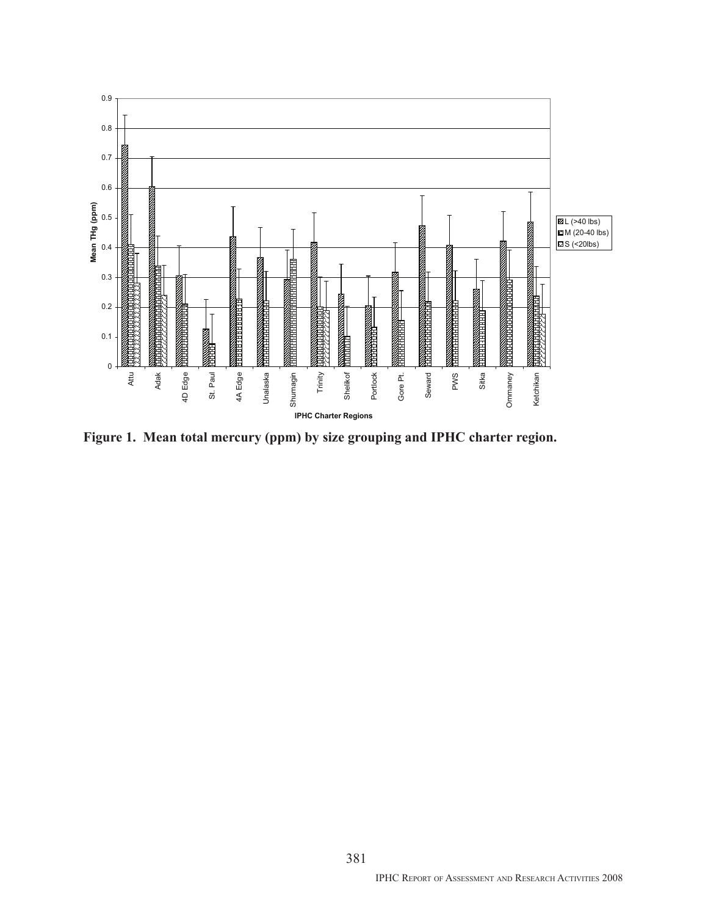

**Figure 1. Mean total mercury (ppm) by size grouping and IPHC charter region.**